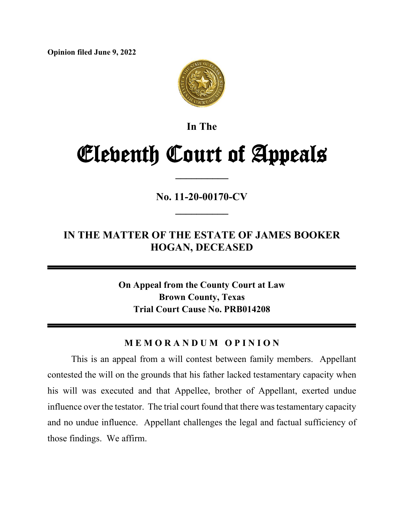**Opinion filed June 9, 2022**



**In The**

# Eleventh Court of Appeals

**\_\_\_\_\_\_\_\_\_\_**

**No. 11-20-00170-CV \_\_\_\_\_\_\_\_\_\_**

## **IN THE MATTER OF THE ESTATE OF JAMES BOOKER HOGAN, DECEASED**

**On Appeal from the County Court at Law Brown County, Texas Trial Court Cause No. PRB014208**

## **M E M O R A N D U M O P I N I O N**

This is an appeal from a will contest between family members. Appellant contested the will on the grounds that his father lacked testamentary capacity when his will was executed and that Appellee, brother of Appellant, exerted undue influence over the testator. The trial court found that there was testamentary capacity and no undue influence. Appellant challenges the legal and factual sufficiency of those findings. We affirm.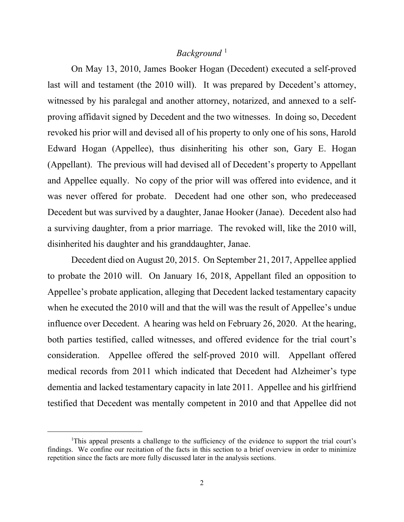## Background<sup>[1](#page-1-0)</sup>

On May 13, 2010, James Booker Hogan (Decedent) executed a self-proved last will and testament (the 2010 will). It was prepared by Decedent's attorney, witnessed by his paralegal and another attorney, notarized, and annexed to a selfproving affidavit signed by Decedent and the two witnesses. In doing so, Decedent revoked his prior will and devised all of his property to only one of his sons, Harold Edward Hogan (Appellee), thus disinheriting his other son, Gary E. Hogan (Appellant). The previous will had devised all of Decedent's property to Appellant and Appellee equally. No copy of the prior will was offered into evidence, and it was never offered for probate. Decedent had one other son, who predeceased Decedent but was survived by a daughter, Janae Hooker (Janae). Decedent also had a surviving daughter, from a prior marriage. The revoked will, like the 2010 will, disinherited his daughter and his granddaughter, Janae.

Decedent died on August 20, 2015. On September 21, 2017, Appellee applied to probate the 2010 will. On January 16, 2018, Appellant filed an opposition to Appellee's probate application, alleging that Decedent lacked testamentary capacity when he executed the 2010 will and that the will was the result of Appellee's undue influence over Decedent. A hearing was held on February 26, 2020. At the hearing, both parties testified, called witnesses, and offered evidence for the trial court's consideration. Appellee offered the self-proved 2010 will. Appellant offered medical records from 2011 which indicated that Decedent had Alzheimer's type dementia and lacked testamentary capacity in late 2011. Appellee and his girlfriend testified that Decedent was mentally competent in 2010 and that Appellee did not

<span id="page-1-0"></span><sup>&</sup>lt;sup>1</sup>This appeal presents a challenge to the sufficiency of the evidence to support the trial court's findings. We confine our recitation of the facts in this section to a brief overview in order to minimize repetition since the facts are more fully discussed later in the analysis sections.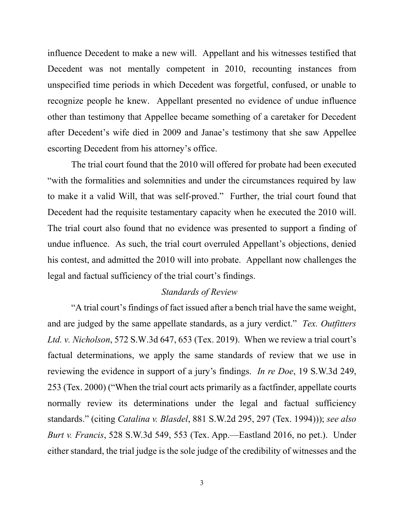influence Decedent to make a new will. Appellant and his witnesses testified that Decedent was not mentally competent in 2010, recounting instances from unspecified time periods in which Decedent was forgetful, confused, or unable to recognize people he knew. Appellant presented no evidence of undue influence other than testimony that Appellee became something of a caretaker for Decedent after Decedent's wife died in 2009 and Janae's testimony that she saw Appellee escorting Decedent from his attorney's office.

The trial court found that the 2010 will offered for probate had been executed "with the formalities and solemnities and under the circumstances required by law to make it a valid Will, that was self-proved." Further, the trial court found that Decedent had the requisite testamentary capacity when he executed the 2010 will. The trial court also found that no evidence was presented to support a finding of undue influence. As such, the trial court overruled Appellant's objections, denied his contest, and admitted the 2010 will into probate. Appellant now challenges the legal and factual sufficiency of the trial court's findings.

#### *Standards of Review*

"A trial court's findings of fact issued after a bench trial have the same weight, and are judged by the same appellate standards, as a jury verdict." *Tex. Outfitters Ltd. v. Nicholson*, 572 S.W.3d 647, 653 (Tex. 2019). When we review a trial court's factual determinations, we apply the same standards of review that we use in reviewing the evidence in support of a jury's findings. *In re Doe*, 19 S.W.3d 249, 253 (Tex. 2000) ("When the trial court acts primarily as a factfinder, appellate courts normally review its determinations under the legal and factual sufficiency standards." (citing *Catalina v. Blasdel*, 881 S.W.2d 295, 297 (Tex. 1994))); *see also Burt v. Francis*, 528 S.W.3d 549, 553 (Tex. App.—Eastland 2016, no pet.). Under either standard, the trial judge is the sole judge of the credibility of witnesses and the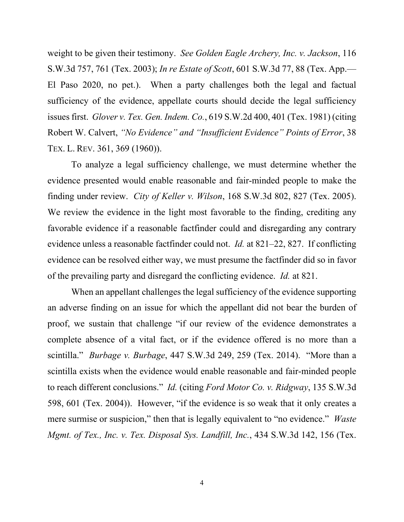weight to be given their testimony. *See Golden Eagle Archery, Inc. v. Jackson*, 116 S.W.3d 757, 761 (Tex. 2003); *In re Estate of Scott*, 601 S.W.3d 77, 88 (Tex. App.— El Paso 2020, no pet.). When a party challenges both the legal and factual sufficiency of the evidence, appellate courts should decide the legal sufficiency issues first. *Glover v. Tex. Gen. Indem. Co.*, 619 S.W.2d 400, 401 (Tex. 1981) (citing Robert W. Calvert, *"No Evidence" and "Insufficient Evidence" Points of Error*, 38 TEX. L. REV. 361, 369 (1960)).

To analyze a legal sufficiency challenge, we must determine whether the evidence presented would enable reasonable and fair-minded people to make the finding under review. *City of Keller v. Wilson*, 168 S.W.3d 802, 827 (Tex. 2005). We review the evidence in the light most favorable to the finding, crediting any favorable evidence if a reasonable factfinder could and disregarding any contrary evidence unless a reasonable factfinder could not. *Id.* at 821–22, 827. If conflicting evidence can be resolved either way, we must presume the factfinder did so in favor of the prevailing party and disregard the conflicting evidence. *Id.* at 821.

When an appellant challenges the legal sufficiency of the evidence supporting an adverse finding on an issue for which the appellant did not bear the burden of proof, we sustain that challenge "if our review of the evidence demonstrates a complete absence of a vital fact, or if the evidence offered is no more than a scintilla." *Burbage v. Burbage*, 447 S.W.3d 249, 259 (Tex. 2014). "More than a scintilla exists when the evidence would enable reasonable and fair-minded people to reach different conclusions." *Id.* (citing *Ford Motor Co. v. Ridgway*, 135 S.W.3d 598, 601 (Tex. 2004)). However, "if the evidence is so weak that it only creates a mere surmise or suspicion," then that is legally equivalent to "no evidence." *Waste Mgmt. of Tex., Inc. v. Tex. Disposal Sys. Landfill, Inc.*, 434 S.W.3d 142, 156 (Tex.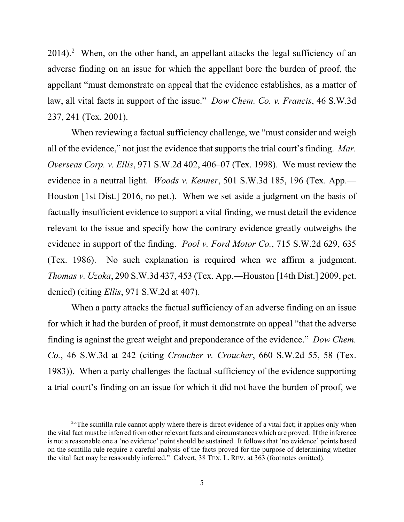$2014$  $2014$ ).<sup>2</sup> When, on the other hand, an appellant attacks the legal sufficiency of an adverse finding on an issue for which the appellant bore the burden of proof, the appellant "must demonstrate on appeal that the evidence establishes, as a matter of law, all vital facts in support of the issue." *Dow Chem. Co. v. Francis*, 46 S.W.3d 237, 241 (Tex. 2001).

When reviewing a factual sufficiency challenge, we "must consider and weigh all of the evidence," not just the evidence that supports the trial court's finding. *Mar. Overseas Corp. v. Ellis*, 971 S.W.2d 402, 406–07 (Tex. 1998). We must review the evidence in a neutral light. *Woods v. Kenner*, 501 S.W.3d 185, 196 (Tex. App.— Houston [1st Dist.] 2016, no pet.). When we set aside a judgment on the basis of factually insufficient evidence to support a vital finding, we must detail the evidence relevant to the issue and specify how the contrary evidence greatly outweighs the evidence in support of the finding. *Pool v. Ford Motor Co.*, 715 S.W.2d 629, 635 (Tex. 1986). No such explanation is required when we affirm a judgment. *Thomas v. Uzoka*, 290 S.W.3d 437, 453 (Tex. App.—Houston [14th Dist.] 2009, pet. denied) (citing *Ellis*, 971 S.W.2d at 407).

When a party attacks the factual sufficiency of an adverse finding on an issue for which it had the burden of proof, it must demonstrate on appeal "that the adverse finding is against the great weight and preponderance of the evidence." *Dow Chem. Co.*, 46 S.W.3d at 242 (citing *Croucher v. Croucher*, 660 S.W.2d 55, 58 (Tex. 1983)). When a party challenges the factual sufficiency of the evidence supporting a trial court's finding on an issue for which it did not have the burden of proof, we

<span id="page-4-0"></span><sup>&</sup>lt;sup>2</sup> The scintilla rule cannot apply where there is direct evidence of a vital fact; it applies only when the vital fact must be inferred from other relevant facts and circumstances which are proved. If the inference is not a reasonable one a 'no evidence' point should be sustained. It follows that 'no evidence' points based on the scintilla rule require a careful analysis of the facts proved for the purpose of determining whether the vital fact may be reasonably inferred." Calvert, 38 TEX. L. REV. at 363 (footnotes omitted).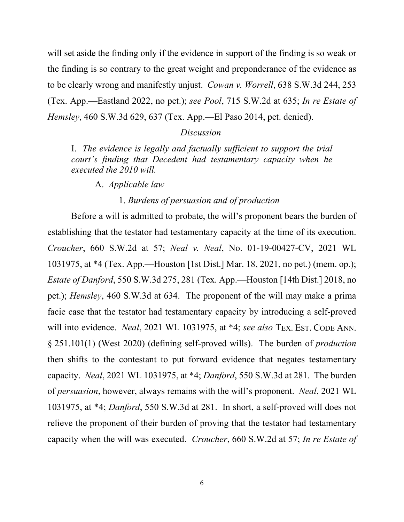will set aside the finding only if the evidence in support of the finding is so weak or the finding is so contrary to the great weight and preponderance of the evidence as to be clearly wrong and manifestly unjust. *Cowan v. Worrell*, 638 S.W.3d 244, 253 (Tex. App.—Eastland 2022, no pet.); *see Pool*, 715 S.W.2d at 635; *In re Estate of Hemsley*, 460 S.W.3d 629, 637 (Tex. App.—El Paso 2014, pet. denied).

### *Discussion*

I. *The evidence is legally and factually sufficient to support the trial court's finding that Decedent had testamentary capacity when he executed the 2010 will.*

A. *Applicable law*

## 1. *Burdens of persuasion and of production*

Before a will is admitted to probate, the will's proponent bears the burden of establishing that the testator had testamentary capacity at the time of its execution. *Croucher*, 660 S.W.2d at 57; *Neal v. Neal*, No. 01-19-00427-CV, 2021 WL 1031975, at \*4 (Tex. App.—Houston [1st Dist.] Mar. 18, 2021, no pet.) (mem. op.); *Estate of Danford*, 550 S.W.3d 275, 281 (Tex. App.—Houston [14th Dist.] 2018, no pet.); *Hemsley*, 460 S.W.3d at 634. The proponent of the will may make a prima facie case that the testator had testamentary capacity by introducing a self-proved will into evidence. *Neal*, 2021 WL 1031975, at \*4; *see also* TEX. EST. CODE ANN. § 251.101(1) (West 2020) (defining self-proved wills). The burden of *production* then shifts to the contestant to put forward evidence that negates testamentary capacity. *Neal*, 2021 WL 1031975, at \*4; *Danford*, 550 S.W.3d at 281. The burden of *persuasion*, however, always remains with the will's proponent. *Neal*, 2021 WL 1031975, at \*4; *Danford*, 550 S.W.3d at 281. In short, a self-proved will does not relieve the proponent of their burden of proving that the testator had testamentary capacity when the will was executed. *Croucher*, 660 S.W.2d at 57; *In re Estate of*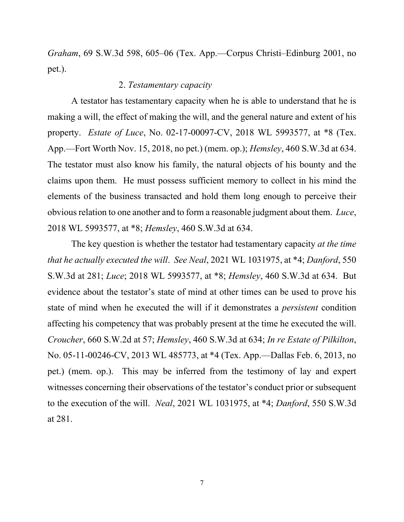*Graham*, 69 S.W.3d 598, 605–06 (Tex. App.—Corpus Christi–Edinburg 2001, no pet.).

## 2. *Testamentary capacity*

A testator has testamentary capacity when he is able to understand that he is making a will, the effect of making the will, and the general nature and extent of his property. *Estate of Luce*, No. 02-17-00097-CV, 2018 WL 5993577, at \*8 (Tex. App.—Fort Worth Nov. 15, 2018, no pet.) (mem. op.); *Hemsley*, 460 S.W.3d at 634. The testator must also know his family, the natural objects of his bounty and the claims upon them. He must possess sufficient memory to collect in his mind the elements of the business transacted and hold them long enough to perceive their obvious relation to one another and to form a reasonable judgment about them. *Luce*, 2018 WL 5993577, at \*8; *Hemsley*, 460 S.W.3d at 634.

The key question is whether the testator had testamentary capacity *at the time that he actually executed the will*. *See Neal*, 2021 WL 1031975, at \*4; *Danford*, 550 S.W.3d at 281; *Luce*; 2018 WL 5993577, at \*8; *Hemsley*, 460 S.W.3d at 634. But evidence about the testator's state of mind at other times can be used to prove his state of mind when he executed the will if it demonstrates a *persistent* condition affecting his competency that was probably present at the time he executed the will. *Croucher*, 660 S.W.2d at 57; *Hemsley*, 460 S.W.3d at 634; *In re Estate of Pilkilton*, No. 05-11-00246-CV, 2013 WL 485773, at \*4 (Tex. App.—Dallas Feb. 6, 2013, no pet.) (mem. op.). This may be inferred from the testimony of lay and expert witnesses concerning their observations of the testator's conduct prior or subsequent to the execution of the will. *Neal*, 2021 WL 1031975, at \*4; *Danford*, 550 S.W.3d at 281.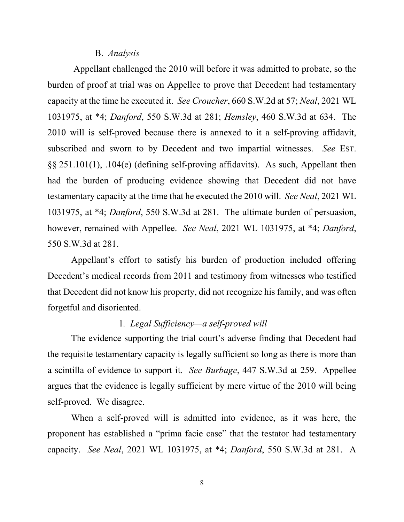#### B. *Analysis*

Appellant challenged the 2010 will before it was admitted to probate, so the burden of proof at trial was on Appellee to prove that Decedent had testamentary capacity at the time he executed it. *See Croucher*, 660 S.W.2d at 57; *Neal*, 2021 WL 1031975, at \*4; *Danford*, 550 S.W.3d at 281; *Hemsley*, 460 S.W.3d at 634. The 2010 will is self-proved because there is annexed to it a self-proving affidavit, subscribed and sworn to by Decedent and two impartial witnesses. *See* EST. §§ 251.101(1), .104(e) (defining self-proving affidavits). As such, Appellant then had the burden of producing evidence showing that Decedent did not have testamentary capacity at the time that he executed the 2010 will. *See Neal*, 2021 WL 1031975, at \*4; *Danford*, 550 S.W.3d at 281. The ultimate burden of persuasion, however, remained with Appellee. *See Neal*, 2021 WL 1031975, at \*4; *Danford*, 550 S.W.3d at 281.

Appellant's effort to satisfy his burden of production included offering Decedent's medical records from 2011 and testimony from witnesses who testified that Decedent did not know his property, did not recognize his family, and was often forgetful and disoriented.

## 1*. Legal Sufficiency—a self-proved will*

The evidence supporting the trial court's adverse finding that Decedent had the requisite testamentary capacity is legally sufficient so long as there is more than a scintilla of evidence to support it. *See Burbage*, 447 S.W.3d at 259. Appellee argues that the evidence is legally sufficient by mere virtue of the 2010 will being self-proved. We disagree.

When a self-proved will is admitted into evidence, as it was here, the proponent has established a "prima facie case" that the testator had testamentary capacity. *See Neal*, 2021 WL 1031975, at \*4; *Danford*, 550 S.W.3d at 281. A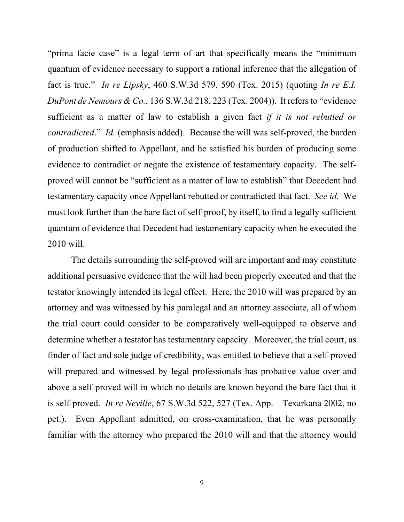"prima facie case" is a legal term of art that specifically means the "minimum quantum of evidence necessary to support a rational inference that the allegation of fact is true." *In re Lipsky*, 460 S.W.3d 579, 590 (Tex. 2015) (quoting *In re E.I. DuPont de Nemours & Co.*, 136 S.W.3d 218, 223 (Tex. 2004)). It refers to "evidence sufficient as a matter of law to establish a given fact *if it is not rebutted or contradicted*." *Id.* (emphasis added). Because the will was self-proved, the burden of production shifted to Appellant, and he satisfied his burden of producing some evidence to contradict or negate the existence of testamentary capacity. The selfproved will cannot be "sufficient as a matter of law to establish" that Decedent had testamentary capacity once Appellant rebutted or contradicted that fact. *See id.* We must look further than the bare fact of self-proof, by itself, to find a legally sufficient quantum of evidence that Decedent had testamentary capacity when he executed the 2010 will.

The details surrounding the self-proved will are important and may constitute additional persuasive evidence that the will had been properly executed and that the testator knowingly intended its legal effect. Here, the 2010 will was prepared by an attorney and was witnessed by his paralegal and an attorney associate, all of whom the trial court could consider to be comparatively well-equipped to observe and determine whether a testator has testamentary capacity. Moreover, the trial court, as finder of fact and sole judge of credibility, was entitled to believe that a self-proved will prepared and witnessed by legal professionals has probative value over and above a self-proved will in which no details are known beyond the bare fact that it is self-proved. *In re Neville*, 67 S.W.3d 522, 527 (Tex. App.—Texarkana 2002, no pet.). Even Appellant admitted, on cross-examination, that he was personally familiar with the attorney who prepared the 2010 will and that the attorney would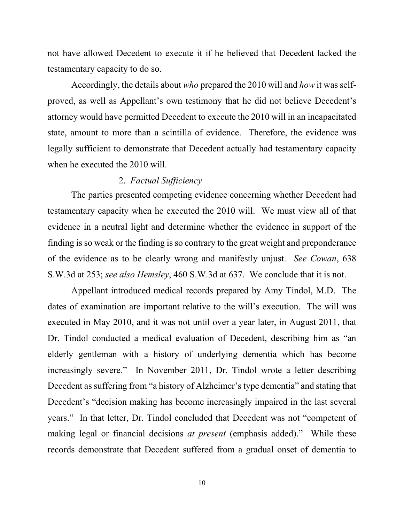not have allowed Decedent to execute it if he believed that Decedent lacked the testamentary capacity to do so.

Accordingly, the details about *who* prepared the 2010 will and *how* it was selfproved, as well as Appellant's own testimony that he did not believe Decedent's attorney would have permitted Decedent to execute the 2010 will in an incapacitated state, amount to more than a scintilla of evidence. Therefore, the evidence was legally sufficient to demonstrate that Decedent actually had testamentary capacity when he executed the 2010 will.

## 2. *Factual Sufficiency*

The parties presented competing evidence concerning whether Decedent had testamentary capacity when he executed the 2010 will. We must view all of that evidence in a neutral light and determine whether the evidence in support of the finding is so weak or the finding is so contrary to the great weight and preponderance of the evidence as to be clearly wrong and manifestly unjust. *See Cowan*, 638 S.W.3d at 253; *see also Hemsley*, 460 S.W.3d at 637. We conclude that it is not.

Appellant introduced medical records prepared by Amy Tindol, M.D. The dates of examination are important relative to the will's execution. The will was executed in May 2010, and it was not until over a year later, in August 2011, that Dr. Tindol conducted a medical evaluation of Decedent, describing him as "an elderly gentleman with a history of underlying dementia which has become increasingly severe." In November 2011, Dr. Tindol wrote a letter describing Decedent as suffering from "a history of Alzheimer's type dementia" and stating that Decedent's "decision making has become increasingly impaired in the last several years." In that letter, Dr. Tindol concluded that Decedent was not "competent of making legal or financial decisions *at present* (emphasis added)." While these records demonstrate that Decedent suffered from a gradual onset of dementia to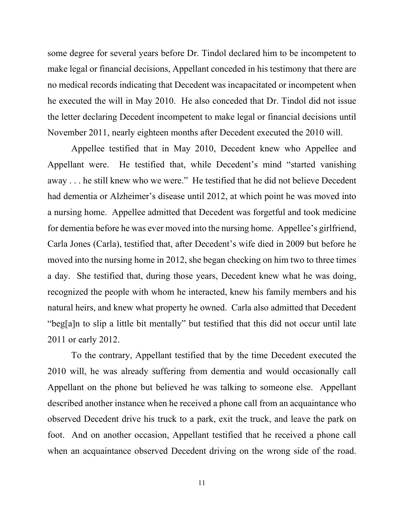some degree for several years before Dr. Tindol declared him to be incompetent to make legal or financial decisions, Appellant conceded in his testimony that there are no medical records indicating that Decedent was incapacitated or incompetent when he executed the will in May 2010. He also conceded that Dr. Tindol did not issue the letter declaring Decedent incompetent to make legal or financial decisions until November 2011, nearly eighteen months after Decedent executed the 2010 will.

Appellee testified that in May 2010, Decedent knew who Appellee and Appellant were. He testified that, while Decedent's mind "started vanishing away . . . he still knew who we were." He testified that he did not believe Decedent had dementia or Alzheimer's disease until 2012, at which point he was moved into a nursing home. Appellee admitted that Decedent was forgetful and took medicine for dementia before he was ever moved into the nursing home. Appellee's girlfriend, Carla Jones (Carla), testified that, after Decedent's wife died in 2009 but before he moved into the nursing home in 2012, she began checking on him two to three times a day. She testified that, during those years, Decedent knew what he was doing, recognized the people with whom he interacted, knew his family members and his natural heirs, and knew what property he owned. Carla also admitted that Decedent "beg[a]n to slip a little bit mentally" but testified that this did not occur until late 2011 or early 2012.

To the contrary, Appellant testified that by the time Decedent executed the 2010 will, he was already suffering from dementia and would occasionally call Appellant on the phone but believed he was talking to someone else. Appellant described another instance when he received a phone call from an acquaintance who observed Decedent drive his truck to a park, exit the truck, and leave the park on foot. And on another occasion, Appellant testified that he received a phone call when an acquaintance observed Decedent driving on the wrong side of the road.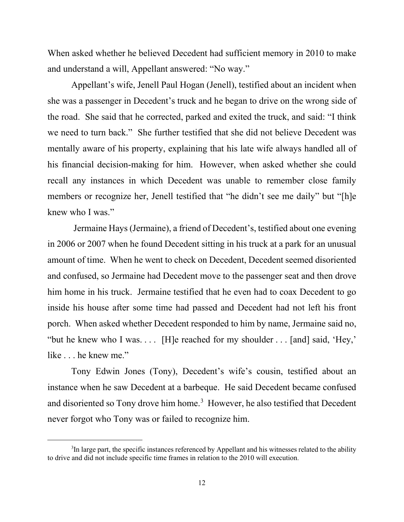When asked whether he believed Decedent had sufficient memory in 2010 to make and understand a will, Appellant answered: "No way."

Appellant's wife, Jenell Paul Hogan (Jenell), testified about an incident when she was a passenger in Decedent's truck and he began to drive on the wrong side of the road. She said that he corrected, parked and exited the truck, and said: "I think we need to turn back." She further testified that she did not believe Decedent was mentally aware of his property, explaining that his late wife always handled all of his financial decision-making for him. However, when asked whether she could recall any instances in which Decedent was unable to remember close family members or recognize her, Jenell testified that "he didn't see me daily" but "[h]e knew who I was."

Jermaine Hays (Jermaine), a friend of Decedent's, testified about one evening in 2006 or 2007 when he found Decedent sitting in his truck at a park for an unusual amount of time. When he went to check on Decedent, Decedent seemed disoriented and confused, so Jermaine had Decedent move to the passenger seat and then drove him home in his truck. Jermaine testified that he even had to coax Decedent to go inside his house after some time had passed and Decedent had not left his front porch. When asked whether Decedent responded to him by name, Jermaine said no, "but he knew who I was. . . . [H]e reached for my shoulder . . . [and] said, 'Hey,' like . . . he knew me."

Tony Edwin Jones (Tony), Decedent's wife's cousin, testified about an instance when he saw Decedent at a barbeque. He said Decedent became confused and disoriented so Tony drove him home.<sup>[3](#page-11-0)</sup> However, he also testified that Decedent never forgot who Tony was or failed to recognize him.

<span id="page-11-0"></span> $3$ In large part, the specific instances referenced by Appellant and his witnesses related to the ability to drive and did not include specific time frames in relation to the 2010 will execution.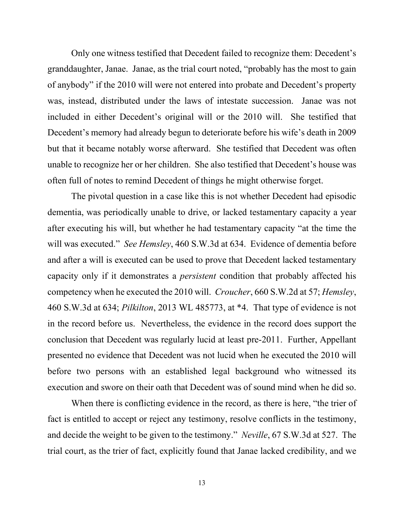Only one witness testified that Decedent failed to recognize them: Decedent's granddaughter, Janae. Janae, as the trial court noted, "probably has the most to gain of anybody" if the 2010 will were not entered into probate and Decedent's property was, instead, distributed under the laws of intestate succession. Janae was not included in either Decedent's original will or the 2010 will. She testified that Decedent's memory had already begun to deteriorate before his wife's death in 2009 but that it became notably worse afterward. She testified that Decedent was often unable to recognize her or her children. She also testified that Decedent's house was often full of notes to remind Decedent of things he might otherwise forget.

The pivotal question in a case like this is not whether Decedent had episodic dementia, was periodically unable to drive, or lacked testamentary capacity a year after executing his will, but whether he had testamentary capacity "at the time the will was executed." *See Hemsley*, 460 S.W.3d at 634. Evidence of dementia before and after a will is executed can be used to prove that Decedent lacked testamentary capacity only if it demonstrates a *persistent* condition that probably affected his competency when he executed the 2010 will. *Croucher*, 660 S.W.2d at 57; *Hemsley*, 460 S.W.3d at 634; *Pilkilton*, 2013 WL 485773, at \*4. That type of evidence is not in the record before us. Nevertheless, the evidence in the record does support the conclusion that Decedent was regularly lucid at least pre-2011. Further, Appellant presented no evidence that Decedent was not lucid when he executed the 2010 will before two persons with an established legal background who witnessed its execution and swore on their oath that Decedent was of sound mind when he did so.

When there is conflicting evidence in the record, as there is here, "the trier of fact is entitled to accept or reject any testimony, resolve conflicts in the testimony, and decide the weight to be given to the testimony." *Neville*, 67 S.W.3d at 527. The trial court, as the trier of fact, explicitly found that Janae lacked credibility, and we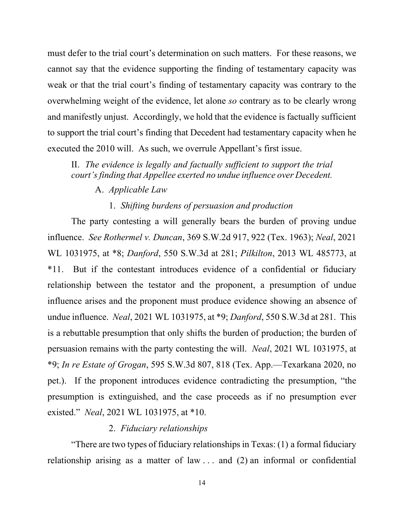must defer to the trial court's determination on such matters. For these reasons, we cannot say that the evidence supporting the finding of testamentary capacity was weak or that the trial court's finding of testamentary capacity was contrary to the overwhelming weight of the evidence, let alone *so* contrary as to be clearly wrong and manifestly unjust. Accordingly, we hold that the evidence is factually sufficient to support the trial court's finding that Decedent had testamentary capacity when he executed the 2010 will. As such, we overrule Appellant's first issue.

II. *The evidence is legally and factually sufficient to support the trial court's finding that Appellee exerted no undue influence over Decedent.*

A. *Applicable Law*

### 1. *Shifting burdens of persuasion and production*

The party contesting a will generally bears the burden of proving undue influence. *See Rothermel v. Duncan*, 369 S.W.2d 917, 922 (Tex. 1963); *Neal*, 2021 WL 1031975, at \*8; *Danford*, 550 S.W.3d at 281; *Pilkilton*, 2013 WL 485773, at \*11. But if the contestant introduces evidence of a confidential or fiduciary relationship between the testator and the proponent, a presumption of undue influence arises and the proponent must produce evidence showing an absence of undue influence. *Neal*, 2021 WL 1031975, at \*9; *Danford*, 550 S.W.3d at 281. This is a rebuttable presumption that only shifts the burden of production; the burden of persuasion remains with the party contesting the will. *Neal*, 2021 WL 1031975, at \*9; *In re Estate of Grogan*, 595 S.W.3d 807, 818 (Tex. App.—Texarkana 2020, no pet.). If the proponent introduces evidence contradicting the presumption, "the presumption is extinguished, and the case proceeds as if no presumption ever existed." *Neal*, 2021 WL 1031975, at \*10.

### 2. *Fiduciary relationships*

"There are two types of fiduciary relationships in Texas: (1) a formal fiduciary relationship arising as a matter of law . . . and (2) an informal or confidential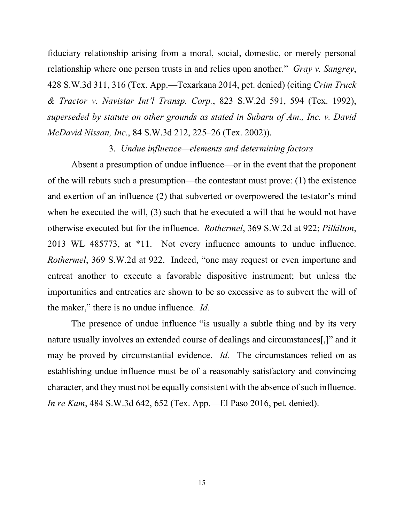fiduciary relationship arising from a moral, social, domestic, or merely personal relationship where one person trusts in and relies upon another." *Gray v. Sangrey*, 428 S.W.3d 311, 316 (Tex. App.—Texarkana 2014, pet. denied) (citing *Crim Truck & Tractor v. Navistar Int'l Transp. Corp.*, 823 S.W.2d 591, 594 (Tex. 1992), *superseded by statute on other grounds as stated in Subaru of Am., Inc. v. David McDavid Nissan, Inc.*, 84 S.W.3d 212, 225–26 (Tex. 2002)).

## 3. *Undue influence—elements and determining factors*

Absent a presumption of undue influence—or in the event that the proponent of the will rebuts such a presumption—the contestant must prove: (1) the existence and exertion of an influence (2) that subverted or overpowered the testator's mind when he executed the will, (3) such that he executed a will that he would not have otherwise executed but for the influence. *Rothermel*, 369 S.W.2d at 922; *Pilkilton*, 2013 WL 485773, at \*11. Not every influence amounts to undue influence. *Rothermel*, 369 S.W.2d at 922. Indeed, "one may request or even importune and entreat another to execute a favorable dispositive instrument; but unless the importunities and entreaties are shown to be so excessive as to subvert the will of the maker," there is no undue influence. *Id.*

The presence of undue influence "is usually a subtle thing and by its very nature usually involves an extended course of dealings and circumstances[,]" and it may be proved by circumstantial evidence. *Id.* The circumstances relied on as establishing undue influence must be of a reasonably satisfactory and convincing character, and they must not be equally consistent with the absence of such influence. *In re Kam*, 484 S.W.3d 642, 652 (Tex. App.—El Paso 2016, pet. denied).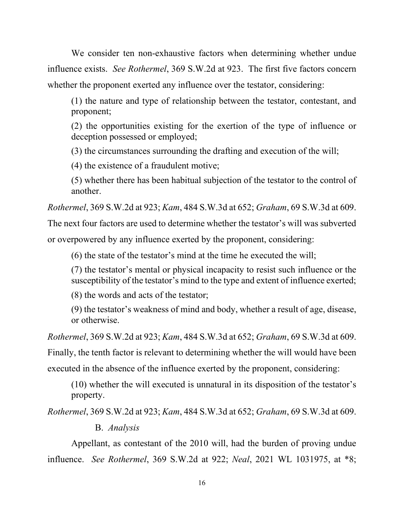We consider ten non-exhaustive factors when determining whether undue influence exists. *See Rothermel*, 369 S.W.2d at 923. The first five factors concern whether the proponent exerted any influence over the testator, considering:

(1) the nature and type of relationship between the testator, contestant, and proponent;

(2) the opportunities existing for the exertion of the type of influence or deception possessed or employed;

(3) the circumstances surrounding the drafting and execution of the will;

(4) the existence of a fraudulent motive;

(5) whether there has been habitual subjection of the testator to the control of another.

*Rothermel*, 369 S.W.2d at 923; *Kam*, 484 S.W.3d at 652; *Graham*, 69 S.W.3d at 609.

The next four factors are used to determine whether the testator's will was subverted

or overpowered by any influence exerted by the proponent, considering:

(6) the state of the testator's mind at the time he executed the will;

(7) the testator's mental or physical incapacity to resist such influence or the susceptibility of the testator's mind to the type and extent of influence exerted;

(8) the words and acts of the testator;

(9) the testator's weakness of mind and body, whether a result of age, disease, or otherwise.

*Rothermel*, 369 S.W.2d at 923; *Kam*, 484 S.W.3d at 652; *Graham*, 69 S.W.3d at 609.

Finally, the tenth factor is relevant to determining whether the will would have been

executed in the absence of the influence exerted by the proponent, considering:

(10) whether the will executed is unnatural in its disposition of the testator's property.

*Rothermel*, 369 S.W.2d at 923; *Kam*, 484 S.W.3d at 652; *Graham*, 69 S.W.3d at 609.

B. *Analysis*

Appellant, as contestant of the 2010 will, had the burden of proving undue influence. *See Rothermel*, 369 S.W.2d at 922; *Neal*, 2021 WL 1031975, at \*8;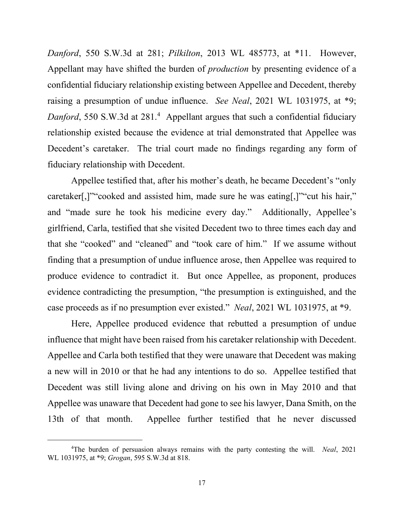*Danford*, 550 S.W.3d at 281; *Pilkilton*, 2013 WL 485773, at \*11. However, Appellant may have shifted the burden of *production* by presenting evidence of a confidential fiduciary relationship existing between Appellee and Decedent, thereby raising a presumption of undue influence. *See Neal*, 2021 WL 1031975, at \*9; Danford, 550 S.W.3d at 281.<sup>4</sup> Appellant argues that such a confidential fiduciary relationship existed because the evidence at trial demonstrated that Appellee was Decedent's caretaker. The trial court made no findings regarding any form of fiduciary relationship with Decedent.

Appellee testified that, after his mother's death, he became Decedent's "only caretaker[,]""cooked and assisted him, made sure he was eating[,]""cut his hair," and "made sure he took his medicine every day." Additionally, Appellee's girlfriend, Carla, testified that she visited Decedent two to three times each day and that she "cooked" and "cleaned" and "took care of him." If we assume without finding that a presumption of undue influence arose, then Appellee was required to produce evidence to contradict it. But once Appellee, as proponent, produces evidence contradicting the presumption, "the presumption is extinguished, and the case proceeds as if no presumption ever existed." *Neal*, 2021 WL 1031975, at \*9.

Here, Appellee produced evidence that rebutted a presumption of undue influence that might have been raised from his caretaker relationship with Decedent. Appellee and Carla both testified that they were unaware that Decedent was making a new will in 2010 or that he had any intentions to do so. Appellee testified that Decedent was still living alone and driving on his own in May 2010 and that Appellee was unaware that Decedent had gone to see his lawyer, Dana Smith, on the 13th of that month. Appellee further testified that he never discussed

<span id="page-16-0"></span><sup>4</sup> The burden of persuasion always remains with the party contesting the will. *Neal*, 2021 WL 1031975, at \*9; *Grogan*, 595 S.W.3d at 818.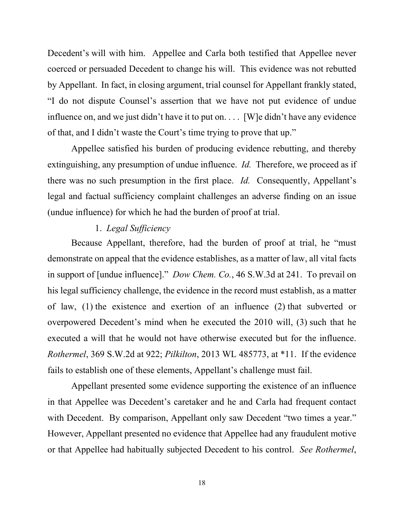Decedent's will with him. Appellee and Carla both testified that Appellee never coerced or persuaded Decedent to change his will. This evidence was not rebutted by Appellant. In fact, in closing argument, trial counsel for Appellant frankly stated, "I do not dispute Counsel's assertion that we have not put evidence of undue influence on, and we just didn't have it to put on. . . . [W]e didn't have any evidence of that, and I didn't waste the Court's time trying to prove that up."

Appellee satisfied his burden of producing evidence rebutting, and thereby extinguishing, any presumption of undue influence. *Id.* Therefore, we proceed as if there was no such presumption in the first place. *Id.* Consequently, Appellant's legal and factual sufficiency complaint challenges an adverse finding on an issue (undue influence) for which he had the burden of proof at trial.

## 1. *Legal Sufficiency*

Because Appellant, therefore, had the burden of proof at trial, he "must demonstrate on appeal that the evidence establishes, as a matter of law, all vital facts in support of [undue influence]." *Dow Chem. Co.*, 46 S.W.3d at 241. To prevail on his legal sufficiency challenge, the evidence in the record must establish, as a matter of law, (1) the existence and exertion of an influence (2) that subverted or overpowered Decedent's mind when he executed the 2010 will, (3) such that he executed a will that he would not have otherwise executed but for the influence. *Rothermel*, 369 S.W.2d at 922; *Pilkilton*, 2013 WL 485773, at \*11. If the evidence fails to establish one of these elements, Appellant's challenge must fail.

Appellant presented some evidence supporting the existence of an influence in that Appellee was Decedent's caretaker and he and Carla had frequent contact with Decedent. By comparison, Appellant only saw Decedent "two times a year." However, Appellant presented no evidence that Appellee had any fraudulent motive or that Appellee had habitually subjected Decedent to his control. *See Rothermel*,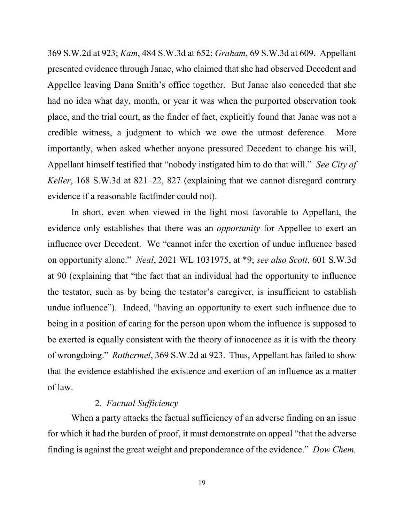369 S.W.2d at 923; *Kam*, 484 S.W.3d at 652; *Graham*, 69 S.W.3d at 609. Appellant presented evidence through Janae, who claimed that she had observed Decedent and Appellee leaving Dana Smith's office together. But Janae also conceded that she had no idea what day, month, or year it was when the purported observation took place, and the trial court, as the finder of fact, explicitly found that Janae was not a credible witness, a judgment to which we owe the utmost deference. More importantly, when asked whether anyone pressured Decedent to change his will, Appellant himself testified that "nobody instigated him to do that will." *See City of Keller*, 168 S.W.3d at 821–22, 827 (explaining that we cannot disregard contrary evidence if a reasonable factfinder could not).

In short, even when viewed in the light most favorable to Appellant, the evidence only establishes that there was an *opportunity* for Appellee to exert an influence over Decedent. We "cannot infer the exertion of undue influence based on opportunity alone." *Neal*, 2021 WL 1031975, at \*9; *see also Scott*, 601 S.W.3d at 90 (explaining that "the fact that an individual had the opportunity to influence the testator, such as by being the testator's caregiver, is insufficient to establish undue influence"). Indeed, "having an opportunity to exert such influence due to being in a position of caring for the person upon whom the influence is supposed to be exerted is equally consistent with the theory of innocence as it is with the theory of wrongdoing." *Rothermel*, 369 S.W.2d at 923. Thus, Appellant has failed to show that the evidence established the existence and exertion of an influence as a matter of law.

## 2*. Factual Sufficiency*

When a party attacks the factual sufficiency of an adverse finding on an issue for which it had the burden of proof, it must demonstrate on appeal "that the adverse finding is against the great weight and preponderance of the evidence." *Dow Chem.*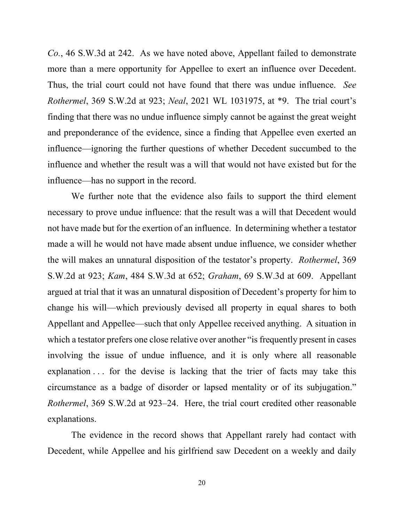*Co.*, 46 S.W.3d at 242. As we have noted above, Appellant failed to demonstrate more than a mere opportunity for Appellee to exert an influence over Decedent. Thus, the trial court could not have found that there was undue influence. *See Rothermel*, 369 S.W.2d at 923; *Neal*, 2021 WL 1031975, at \*9. The trial court's finding that there was no undue influence simply cannot be against the great weight and preponderance of the evidence, since a finding that Appellee even exerted an influence—ignoring the further questions of whether Decedent succumbed to the influence and whether the result was a will that would not have existed but for the influence—has no support in the record.

We further note that the evidence also fails to support the third element necessary to prove undue influence: that the result was a will that Decedent would not have made but for the exertion of an influence. In determining whether a testator made a will he would not have made absent undue influence, we consider whether the will makes an unnatural disposition of the testator's property. *Rothermel*, 369 S.W.2d at 923; *Kam*, 484 S.W.3d at 652; *Graham*, 69 S.W.3d at 609. Appellant argued at trial that it was an unnatural disposition of Decedent's property for him to change his will—which previously devised all property in equal shares to both Appellant and Appellee—such that only Appellee received anything. A situation in which a testator prefers one close relative over another "is frequently present in cases involving the issue of undue influence, and it is only where all reasonable explanation . . . for the devise is lacking that the trier of facts may take this circumstance as a badge of disorder or lapsed mentality or of its subjugation." *Rothermel*, 369 S.W.2d at 923–24. Here, the trial court credited other reasonable explanations.

The evidence in the record shows that Appellant rarely had contact with Decedent, while Appellee and his girlfriend saw Decedent on a weekly and daily